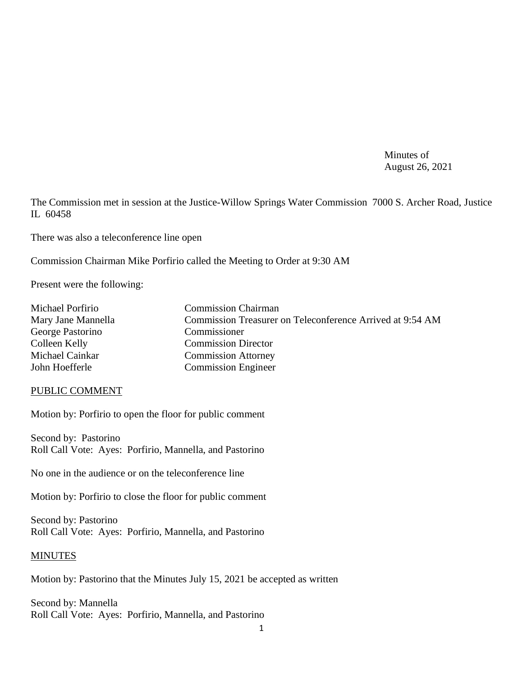Minutes of August 26, 2021

The Commission met in session at the Justice-Willow Springs Water Commission 7000 S. Archer Road, Justice IL 60458

There was also a teleconference line open

Commission Chairman Mike Porfirio called the Meeting to Order at 9:30 AM

Present were the following:

| Michael Porfirio   | <b>Commission Chairman</b>                                |
|--------------------|-----------------------------------------------------------|
| Mary Jane Mannella | Commission Treasurer on Teleconference Arrived at 9:54 AM |
| George Pastorino   | Commissioner                                              |
| Colleen Kelly      | <b>Commission Director</b>                                |
| Michael Cainkar    | <b>Commission Attorney</b>                                |
| John Hoefferle     | <b>Commission Engineer</b>                                |

### PUBLIC COMMENT

Motion by: Porfirio to open the floor for public comment

Second by: Pastorino Roll Call Vote: Ayes: Porfirio, Mannella, and Pastorino

No one in the audience or on the teleconference line

Motion by: Porfirio to close the floor for public comment

Second by: Pastorino Roll Call Vote: Ayes: Porfirio, Mannella, and Pastorino

### MINUTES

Motion by: Pastorino that the Minutes July 15, 2021 be accepted as written

Second by: Mannella Roll Call Vote: Ayes: Porfirio, Mannella, and Pastorino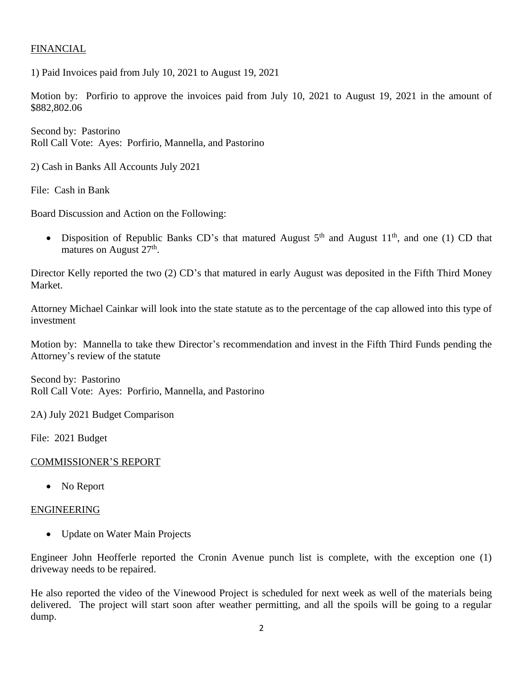## FINANCIAL

1) Paid Invoices paid from July 10, 2021 to August 19, 2021

Motion by: Porfirio to approve the invoices paid from July 10, 2021 to August 19, 2021 in the amount of \$882,802.06

Second by: Pastorino Roll Call Vote: Ayes: Porfirio, Mannella, and Pastorino

2) Cash in Banks All Accounts July 2021

File: Cash in Bank

Board Discussion and Action on the Following:

• Disposition of Republic Banks CD's that matured August  $5<sup>th</sup>$  and August  $11<sup>th</sup>$ , and one (1) CD that matures on August  $27<sup>th</sup>$ .

Director Kelly reported the two (2) CD's that matured in early August was deposited in the Fifth Third Money Market.

Attorney Michael Cainkar will look into the state statute as to the percentage of the cap allowed into this type of investment

Motion by: Mannella to take thew Director's recommendation and invest in the Fifth Third Funds pending the Attorney's review of the statute

Second by: Pastorino Roll Call Vote: Ayes: Porfirio, Mannella, and Pastorino

2A) July 2021 Budget Comparison

File: 2021 Budget

### COMMISSIONER'S REPORT

• No Report

### ENGINEERING

• Update on Water Main Projects

Engineer John Heofferle reported the Cronin Avenue punch list is complete, with the exception one (1) driveway needs to be repaired.

He also reported the video of the Vinewood Project is scheduled for next week as well of the materials being delivered. The project will start soon after weather permitting, and all the spoils will be going to a regular dump.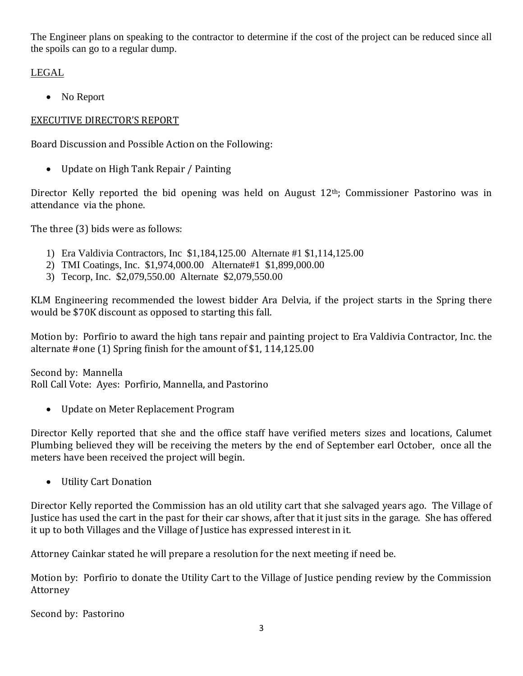The Engineer plans on speaking to the contractor to determine if the cost of the project can be reduced since all the spoils can go to a regular dump.

# LEGAL

• No Report

# EXECUTIVE DIRECTOR'S REPORT

Board Discussion and Possible Action on the Following:

• Update on High Tank Repair / Painting

Director Kelly reported the bid opening was held on August  $12<sup>th</sup>$ ; Commissioner Pastorino was in attendance via the phone.

The three (3) bids were as follows:

- 1) Era Valdivia Contractors, Inc \$1,184,125.00 Alternate #1 \$1,114,125.00
- 2) TMI Coatings, Inc. \$1,974,000.00 Alternate#1 \$1,899,000.00
- 3) Tecorp, Inc. \$2,079,550.00 Alternate \$2,079,550.00

KLM Engineering recommended the lowest bidder Ara Delvia, if the project starts in the Spring there would be \$70K discount as opposed to starting this fall.

Motion by: Porfirio to award the high tans repair and painting project to Era Valdivia Contractor, Inc. the alternate #one (1) Spring finish for the amount of \$1, 114,125.00

Second by: Mannella Roll Call Vote: Ayes: Porfirio, Mannella, and Pastorino

• Update on Meter Replacement Program

Director Kelly reported that she and the office staff have verified meters sizes and locations, Calumet Plumbing believed they will be receiving the meters by the end of September earl October, once all the meters have been received the project will begin.

• Utility Cart Donation

Director Kelly reported the Commission has an old utility cart that she salvaged years ago. The Village of Justice has used the cart in the past for their car shows, after that it just sits in the garage. She has offered it up to both Villages and the Village of Justice has expressed interest in it.

Attorney Cainkar stated he will prepare a resolution for the next meeting if need be.

Motion by: Porfirio to donate the Utility Cart to the Village of Justice pending review by the Commission Attorney

Second by: Pastorino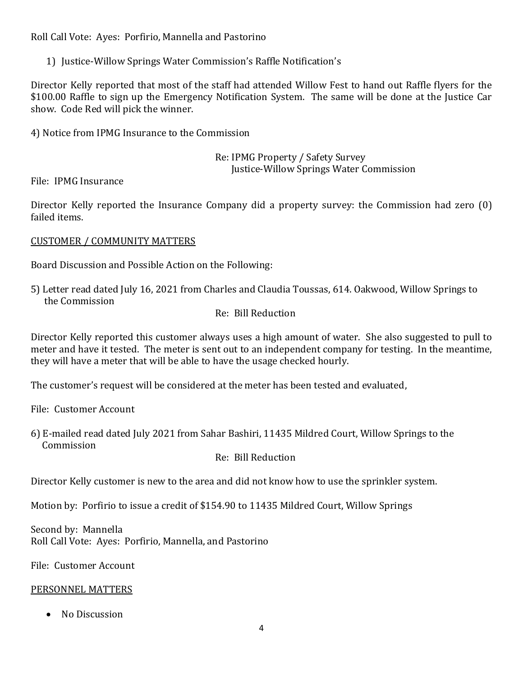Roll Call Vote: Ayes: Porfirio, Mannella and Pastorino

1) Justice-Willow Springs Water Commission's Raffle Notification's

Director Kelly reported that most of the staff had attended Willow Fest to hand out Raffle flyers for the \$100.00 Raffle to sign up the Emergency Notification System. The same will be done at the Justice Car show. Code Red will pick the winner.

4) Notice from IPMG Insurance to the Commission

Re: IPMG Property / Safety Survey Justice-Willow Springs Water Commission

File: IPMG Insurance

Director Kelly reported the Insurance Company did a property survey: the Commission had zero (0) failed items.

CUSTOMER / COMMUNITY MATTERS

Board Discussion and Possible Action on the Following:

5) Letter read dated July 16, 2021 from Charles and Claudia Toussas, 614. Oakwood, Willow Springs to the Commission

## Re: Bill Reduction

Director Kelly reported this customer always uses a high amount of water. She also suggested to pull to meter and have it tested. The meter is sent out to an independent company for testing. In the meantime, they will have a meter that will be able to have the usage checked hourly.

The customer's request will be considered at the meter has been tested and evaluated,

File: Customer Account

6) E-mailed read dated July 2021 from Sahar Bashiri, 11435 Mildred Court, Willow Springs to the Commission

Re: Bill Reduction

Director Kelly customer is new to the area and did not know how to use the sprinkler system.

Motion by: Porfirio to issue a credit of \$154.90 to 11435 Mildred Court, Willow Springs

Second by: Mannella Roll Call Vote: Ayes: Porfirio, Mannella, and Pastorino

File: Customer Account

### PERSONNEL MATTERS

• No Discussion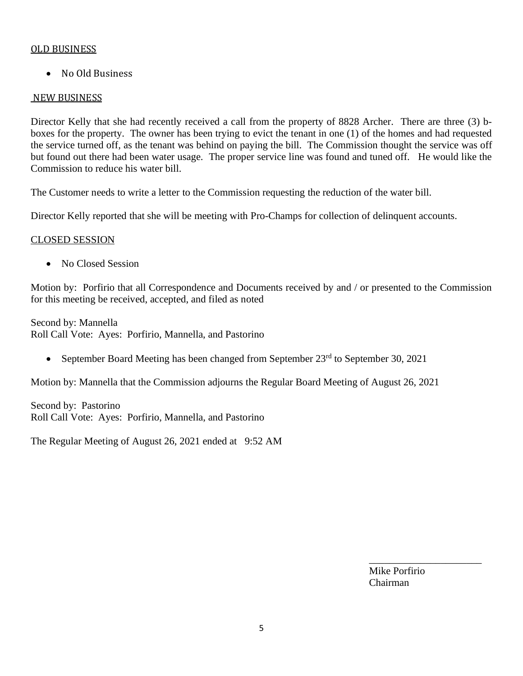## OLD BUSINESS

• No Old Business

## NEW BUSINESS

Director Kelly that she had recently received a call from the property of 8828 Archer. There are three (3) bboxes for the property. The owner has been trying to evict the tenant in one (1) of the homes and had requested the service turned off, as the tenant was behind on paying the bill. The Commission thought the service was off but found out there had been water usage. The proper service line was found and tuned off. He would like the Commission to reduce his water bill.

The Customer needs to write a letter to the Commission requesting the reduction of the water bill.

Director Kelly reported that she will be meeting with Pro-Champs for collection of delinquent accounts.

## CLOSED SESSION

• No Closed Session

Motion by: Porfirio that all Correspondence and Documents received by and / or presented to the Commission for this meeting be received, accepted, and filed as noted

Second by: Mannella Roll Call Vote: Ayes: Porfirio, Mannella, and Pastorino

• September Board Meeting has been changed from September  $23<sup>rd</sup>$  to September 30, 2021

Motion by: Mannella that the Commission adjourns the Regular Board Meeting of August 26, 2021

Second by: Pastorino Roll Call Vote: Ayes: Porfirio, Mannella, and Pastorino

The Regular Meeting of August 26, 2021 ended at 9:52 AM

Mike Porfirio Chairman

\_\_\_\_\_\_\_\_\_\_\_\_\_\_\_\_\_\_\_\_\_\_